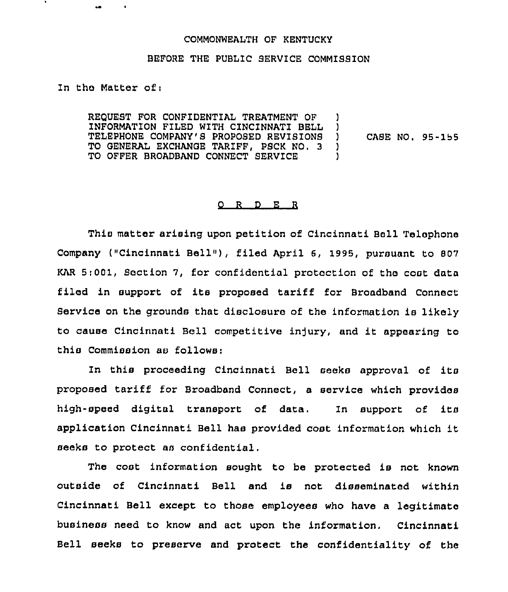## COMMONWEALTH OF KENTUCKY

## BEFORE THE PUBLIC SERVICE COMMISSION

In the Matter of:

REQUEST FOR CONFIDENTIAL TREATMENT OF ) INFORMATION FILED WITH CINCINNATI BELL ) TELEPHONE COMPANY'8 PROPOSED REVISIONS ) TO GENERAL EXCHANGE TARIFF, PSCK NO. 3 )<br>TO OFFER BROADBAND CONNECT SERVICE TO OFFER BROADBAND CONNECT SERVICE CASE NO. 95-155

## 0 R D E R

This matter arising upon petition of Cincinnati Bell Telephone Company ("Cincinnati Bell"), filed April 6, 1995, pursuant to 807 KAR 5:001, Section 7, for confidential protection of the cost data filed in support of its proposed tariff for Broadband Connect Service on the grounds that disclosure of the information is likely to cause Cincinnati Bell competitive injury, and it appearing to this Commission as follows:

ln this proceeding Cincinnati Bell seeks approval of its proposed tariff for Broadband Connect, <sup>a</sup> service which provides high-speed digital transport of data, 1n support of its application Cincinnati Bell has provided cost information which it seeks to protect as confidential.

The cost information sought to be protected is not known outside of Cincinnati Bell and is not disseminated within Cincinnati Bell except to those employees who have a legitimate business need to know and act upon the information. Cincinnati Bell seeks to preserve and protect the confidentiality of the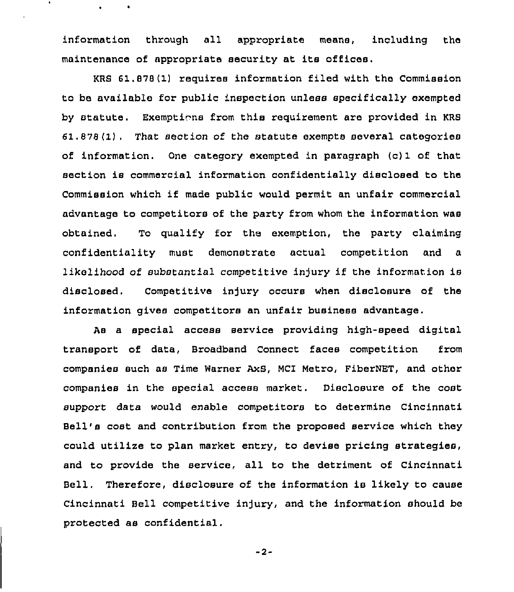information through all appropriate means, including the maintenance of appropriate security at its offices.

KRS 61,878 (1) requires information filed with the Commission to be available for public inspection unless specifically exempted by statute. Exemptions from this requirement are provided in KRS 61.878(1), That section of the statute exempts several categories of information. One category exempted in paragraph (c) 1 of that section is commercial information confidentially disclosed to the Commission which if made public would permit an unfair commercial advantage to competitors of the party from whom the information was obtained. To qualify for the exemption, the party claiming confidentiality must demonstrate actual competition and a likelihood of substantial competitive injury if the information is disclosed. Competitive injury occurs when disclosure of the information gives competitors an unfair business advantage.

As a special access service providing high-speed digital transport of data, Broadband Connect faces competition from companies such as Time Warner AxS, MCI Metro, FiberNET, and other companies in the special access market. Disclosure of the cost support data would enable competitors to determine Cincinnati Bell's cost and contribution from the proposed service which they could utilize to plan market entry, to devise pricing strategies, and to provide the service, all to the detriment of Cincinnati Bell. Therefore, disclosure of the information is likely to cause Cincinnati Bell competitive injury, and the information should be protected as confidential.

-2-